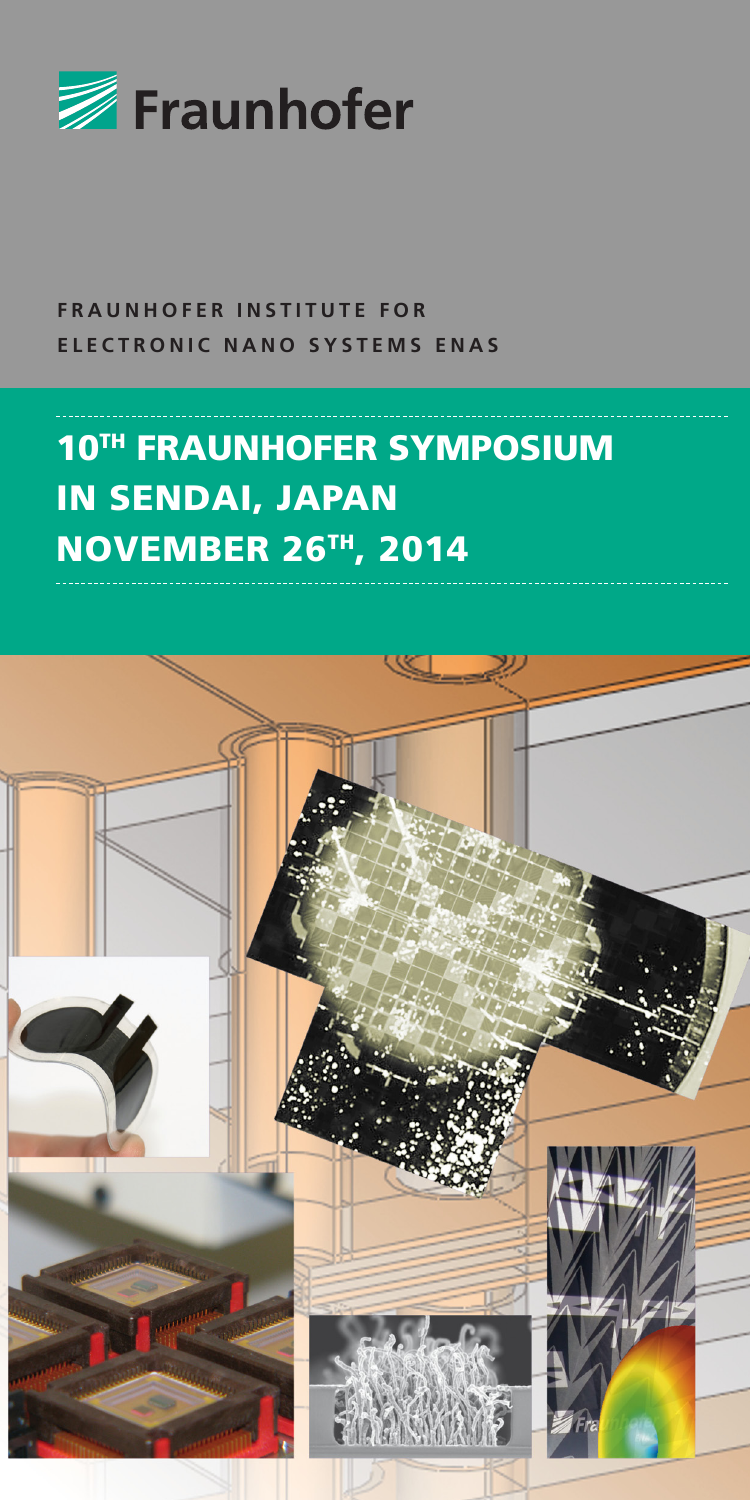

**FRAUNHOFER INSTITUTE FOR ELECTRONIC NANO SYSTEMS ENAS**

## **10TH FRAUNHOFER SYMPOSIUM** IN SENDAI, JAPAN NOVEMBER 26TH, 2014

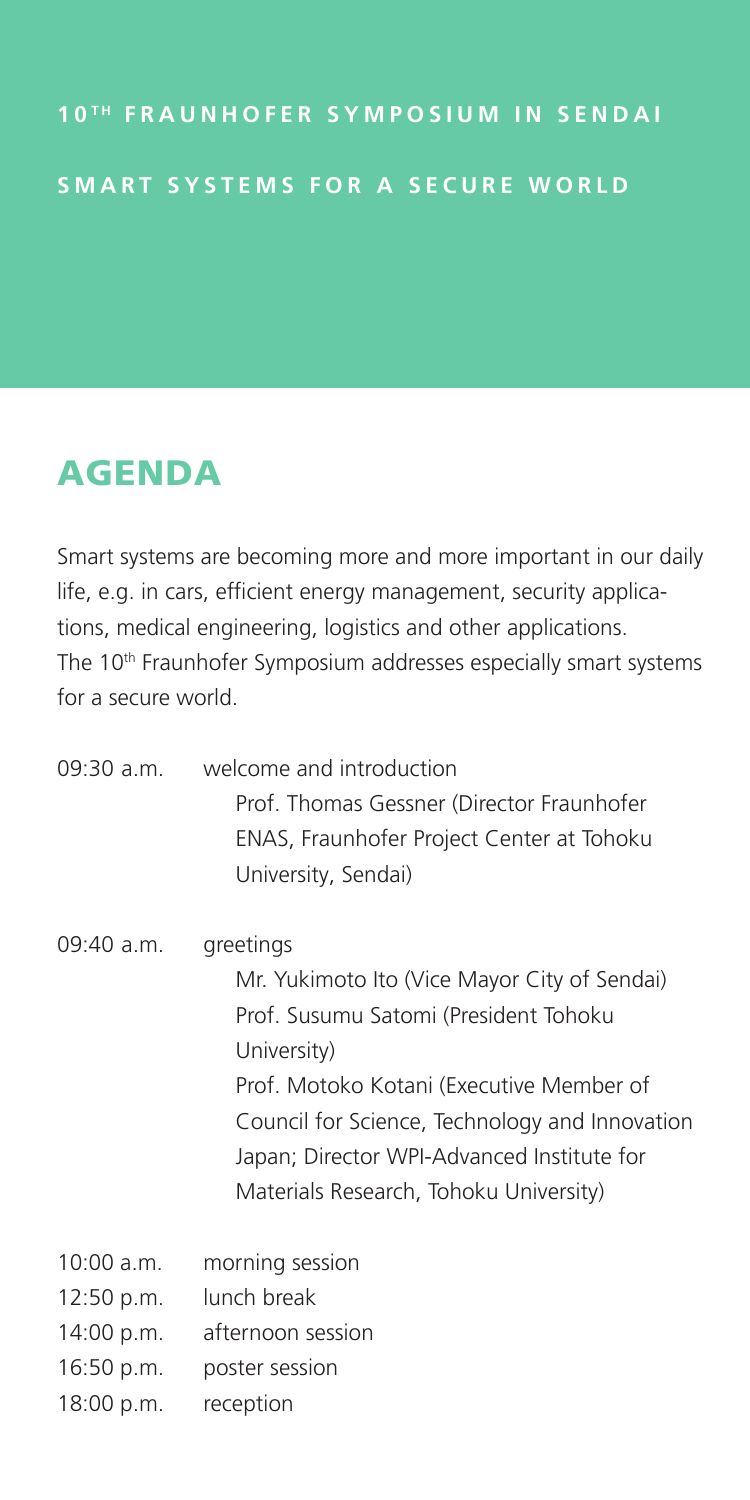## AGENDA

Smart systems are becoming more and more important in our daily life, e.g. in cars, efficient energy management, security applications, medical engineering, logistics and other applications. The 10<sup>th</sup> Fraunhofer Symposium addresses especially smart systems for a secure world.

| 09:30 a.m.   | welcome and introduction<br>Prof. Thomas Gessner (Director Fraunhofer<br>ENAS, Fraunhofer Project Center at Tohoku<br>University, Sendai)                                                                                                                                                               |
|--------------|---------------------------------------------------------------------------------------------------------------------------------------------------------------------------------------------------------------------------------------------------------------------------------------------------------|
| 09:40 a.m.   | greetings<br>Mr. Yukimoto Ito (Vice Mayor City of Sendai)<br>Prof. Susumu Satomi (President Tohoku<br>University)<br>Prof. Motoko Kotani (Executive Member of<br>Council for Science, Technology and Innovation<br>Japan; Director WPI-Advanced Institute for<br>Materials Research, Tohoku University) |
| $10:00$ a.m. | morning session                                                                                                                                                                                                                                                                                         |
| 12:50 p.m.   | lunch break                                                                                                                                                                                                                                                                                             |
| 14:00 p.m.   | afternoon session                                                                                                                                                                                                                                                                                       |
| 16:50 p.m.   | poster session                                                                                                                                                                                                                                                                                          |
| 18:00 p.m.   | reception                                                                                                                                                                                                                                                                                               |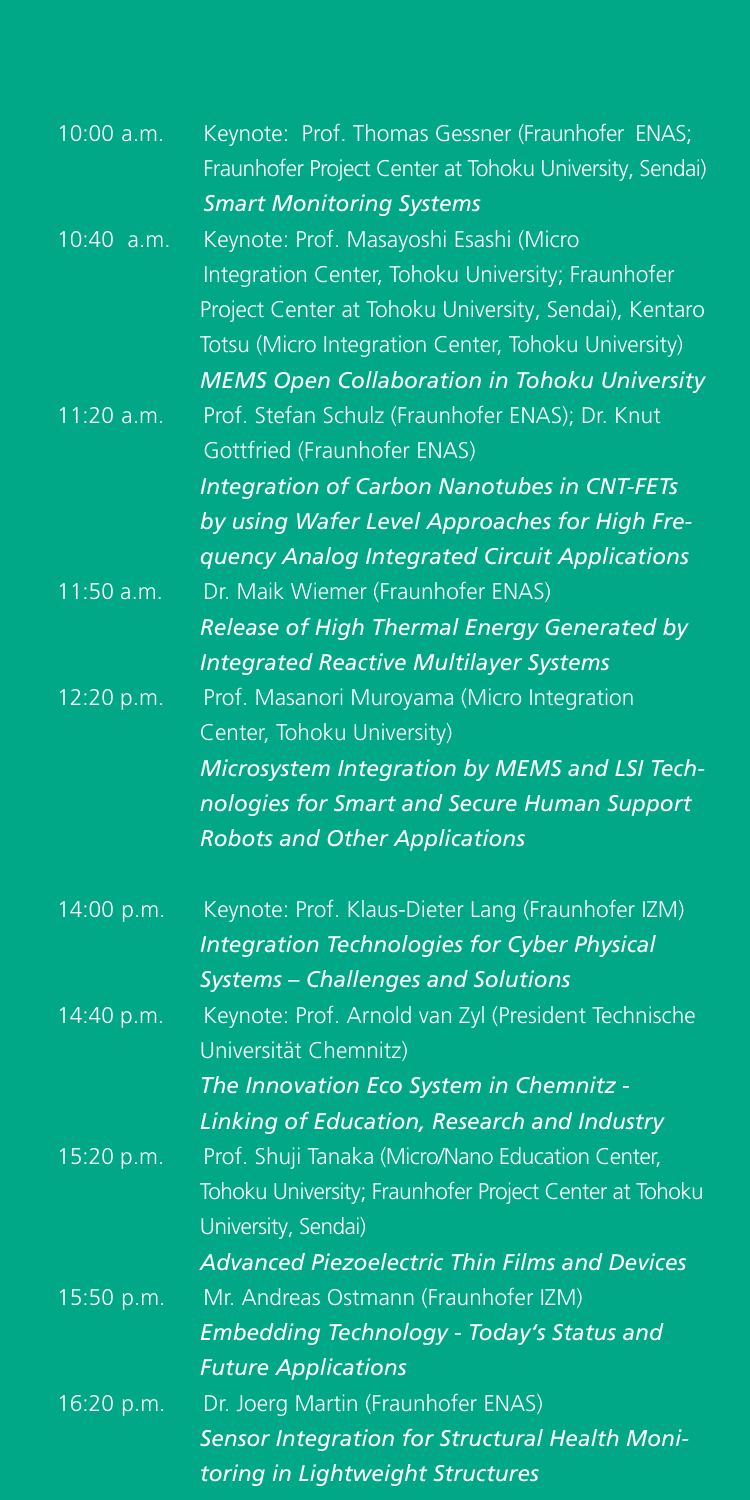| 10:00 a.m. | Keynote: Prof. Thomas Gessner (Fraunhofer ENAS;<br>Fraunhofer Project Center at Tohoku University, Sendai)<br><b>Smart Monitoring Systems</b>                                                                                                                     |
|------------|-------------------------------------------------------------------------------------------------------------------------------------------------------------------------------------------------------------------------------------------------------------------|
| 10:40 a.m. | Keynote: Prof. Masayoshi Esashi (Micro<br>Integration Center, Tohoku University; Fraunhofer<br>Project Center at Tohoku University, Sendai), Kentaro<br>Totsu (Micro Integration Center, Tohoku University)                                                       |
| 11:20 a.m. | <b>MEMS Open Collaboration in Tohoku University</b><br>Prof. Stefan Schulz (Fraunhofer ENAS); Dr. Knut<br><b>Gottfried (Fraunhofer ENAS)</b><br><b>Integration of Carbon Nanotubes in CNT-FETs</b><br>by using Wafer Level Approaches for High Fre-               |
| 11:50 a.m. | quency Analog Integrated Circuit Applications<br>Dr. Maik Wiemer (Fraunhofer ENAS)<br>Release of High Thermal Energy Generated by                                                                                                                                 |
| 12:20 p.m. | <b>Integrated Reactive Multilayer Systems</b><br>Prof. Masanori Muroyama (Micro Integration<br>Center, Tohoku University)<br>Microsystem Integration by MEMS and LSI Tech-<br>nologies for Smart and Secure Human Support<br><b>Robots and Other Applications</b> |
| 14:00 p.m. | Keynote: Prof. Klaus-Dieter Lang (Fraunhofer IZM)<br><b>Integration Technologies for Cyber Physical</b><br><b>Systems - Challenges and Solutions</b>                                                                                                              |
| 14:40 p.m. | Keynote: Prof. Arnold van Zyl (President Technische<br>Universität Chemnitz)<br>The Innovation Eco System in Chemnitz -                                                                                                                                           |
| 15:20 p.m. | Linking of Education, Research and Industry<br>Prof. Shuji Tanaka (Micro/Nano Education Center,<br>Tohoku University; Fraunhofer Project Center at Tohoku<br>University, Sendai)                                                                                  |
| 15:50 p.m. | <b>Advanced Piezoelectric Thin Films and Devices</b><br>Mr. Andreas Ostmann (Fraunhofer IZM)<br>Embedding Technology - Today's Status and<br><b>Future Applications</b>                                                                                           |
| 16:20 p.m. | Dr. Joerg Martin (Fraunhofer ENAS)<br>Sensor Integration for Structural Health Moni-<br>toring in Lightweight Structures                                                                                                                                          |